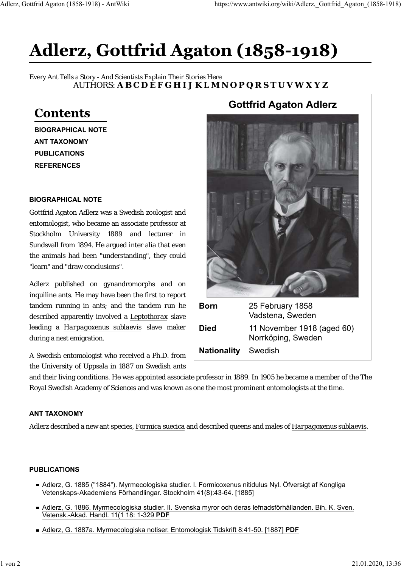# **Adlerz, Gottfrid Agaton (1858-1918)**

Every Ant Tells a Story - And Scientists Explain Their Stories Here AUTHORS: A B C D E F G H I J K L M N O P Q R S T U V W X Y Z

## **Contents**

**BIOGRAPHICAL NOTE ANT TAXONOMY PUBLICATIONS REFERENCES**

#### **BIOGRAPHICAL NOTE**

Gottfrid Agaton Adlerz was a Swedish zoologist and entomologist, who became an associate professor at Stockholm University 1889 and lecturer in Sundsvall from 1894. He argued inter alia that even the animals had been "understanding", they could "learn" and "draw conclusions".

Adlerz published on gynandromorphs and on inquiline ants. He may have been the first to report tandem running in ants; and the tandem run he described apparently involved a *Leptothorax* slave leading a *Harpagoxenus sublaevis* slave maker during a nest emigration.

A Swedish entomologist who received a Ph.D. from the University of Uppsala in 1887 on Swedish ants

## **Gottfrid Agaton Adlerz**



and their living conditions. He was appointed associate professor in 1889. In 1905 he became a member of the The Royal Swedish Academy of Sciences and was known as one the most prominent entomologists at the time.

#### **ANT TAXONOMY**

Adlerz described a new ant species, *Formica suecica* and described queens and males of *Harpagoxenus sublaevis*.

#### **PUBLICATIONS**

- Adlerz, G. 1885 ("1884"). Myrmecologiska studier. I. Formicoxenus nitidulus Nyl. Öfversigt af Kongliga Vetenskaps-Akademiens Förhandlingar. Stockholm 41(8):43-64. [1885]
- Adlerz, G. 1886. Myrmecologiska studier. II. Svenska myror och deras lefnadsförhållanden. Bih. K. Sven. Vetensk.-Akad. Handl. 11(1 18: 1-329 **PDF**
- Adlerz, G. 1887a. Myrmecologiska notiser. Entomologisk Tidskrift 8:41-50. [1887] **PDF**